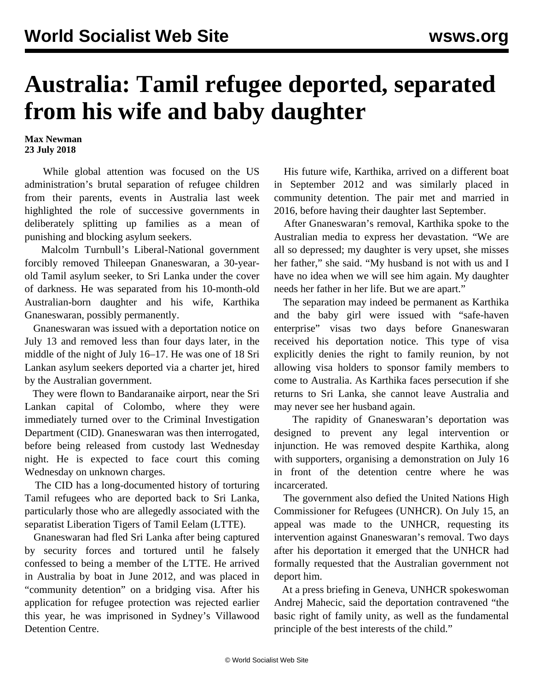## **Australia: Tamil refugee deported, separated from his wife and baby daughter**

**Max Newman 23 July 2018**

 While global attention was focused on the US administration's brutal separation of refugee children from their parents, events in Australia last week highlighted the role of successive governments in deliberately splitting up families as a mean of punishing and blocking asylum seekers.

 Malcolm Turnbull's Liberal-National government forcibly removed Thileepan Gnaneswaran, a 30-yearold Tamil asylum seeker, to Sri Lanka under the cover of darkness. He was separated from his 10-month-old Australian-born daughter and his wife, Karthika Gnaneswaran, possibly permanently.

 Gnaneswaran was issued with a deportation notice on July 13 and removed less than four days later, in the middle of the night of July 16–17. He was one of 18 Sri Lankan asylum seekers deported via a charter jet, hired by the Australian government.

 They were flown to Bandaranaike airport, near the Sri Lankan capital of Colombo, where they were immediately turned over to the Criminal Investigation Department (CID). Gnaneswaran was then interrogated, before being released from custody last Wednesday night. He is expected to face court this coming Wednesday on unknown charges.

 The CID has a long-documented history of torturing Tamil refugees who are deported back to Sri Lanka, particularly those who are allegedly associated with the separatist Liberation Tigers of Tamil Eelam (LTTE).

 Gnaneswaran had fled Sri Lanka after being captured by security forces and tortured until he falsely confessed to being a member of the LTTE. He arrived in Australia by boat in June 2012, and was placed in "community detention" on a bridging visa. After his application for refugee protection was rejected earlier this year, he was imprisoned in Sydney's Villawood Detention Centre.

 His future wife, Karthika, arrived on a different boat in September 2012 and was similarly placed in community detention. The pair met and married in 2016, before having their daughter last September.

 After Gnaneswaran's removal, Karthika spoke to the Australian media to express her devastation. "We are all so depressed; my daughter is very upset, she misses her father," she said. "My husband is not with us and I have no idea when we will see him again. My daughter needs her father in her life. But we are apart."

 The separation may indeed be permanent as Karthika and the baby girl were issued with "safe-haven enterprise" visas two days before Gnaneswaran received his deportation notice. This type of visa explicitly denies the right to family reunion, by not allowing visa holders to sponsor family members to come to Australia. As Karthika faces persecution if she returns to Sri Lanka, she cannot leave Australia and may never see her husband again.

 The rapidity of Gnaneswaran's deportation was designed to prevent any legal intervention or injunction. He was removed despite Karthika, along with supporters, organising a demonstration on July 16 in front of the detention centre where he was incarcerated.

 The government also defied the United Nations High Commissioner for Refugees (UNHCR). On July 15, an appeal was made to the UNHCR, requesting its intervention against Gnaneswaran's removal. Two days after his deportation it emerged that the UNHCR had formally requested that the Australian government not deport him.

 At a press briefing in Geneva, UNHCR spokeswoman Andrej Mahecic, said the deportation contravened "the basic right of family unity, as well as the fundamental principle of the best interests of the child."